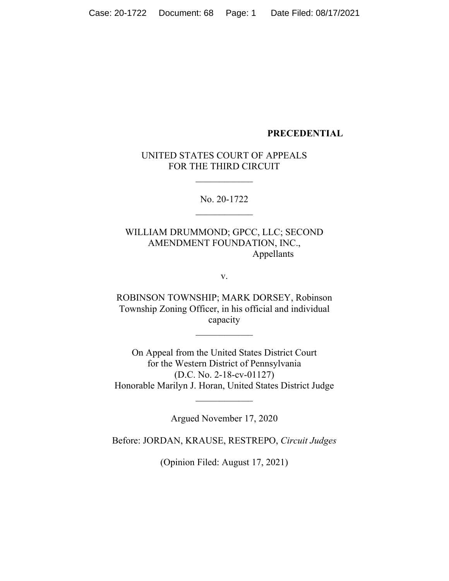#### **PRECEDENTIAL**

#### UNITED STATES COURT OF APPEALS FOR THE THIRD CIRCUIT

 $\frac{1}{2}$ 

No. 20-1722  $\overline{\phantom{a}}$ 

WILLIAM DRUMMOND; GPCC, LLC; SECOND AMENDMENT FOUNDATION, INC., Appellants

v.

ROBINSON TOWNSHIP; MARK DORSEY, Robinson Township Zoning Officer, in his official and individual capacity

 $\frac{1}{2}$ 

On Appeal from the United States District Court for the Western District of Pennsylvania (D.C. No. 2-18-cv-01127) Honorable Marilyn J. Horan, United States District Judge

Argued November 17, 2020

 $\frac{1}{2}$ 

Before: JORDAN, KRAUSE, RESTREPO, *Circuit Judges*

(Opinion Filed: August 17, 2021)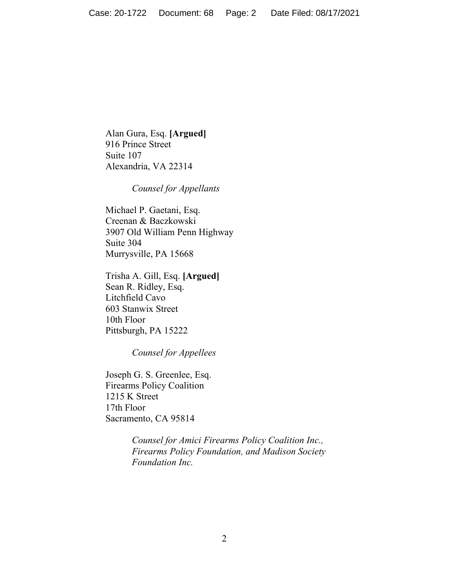Alan Gura, Esq. **[Argued]** 916 Prince Street Suite 107 Alexandria, VA 22314

*Counsel for Appellants*

Michael P. Gaetani, Esq. Creenan & Baczkowski 3907 Old William Penn Highway Suite 304 Murrysville, PA 15668

Trisha A. Gill, Esq. **[Argued]** Sean R. Ridley, Esq. Litchfield Cavo 603 Stanwix Street 10th Floor Pittsburgh, PA 15222

*Counsel for Appellees*

Joseph G. S. Greenlee, Esq. Firearms Policy Coalition 1215 K Street 17th Floor Sacramento, CA 95814

> *Counsel for Amici Firearms Policy Coalition Inc., Firearms Policy Foundation, and Madison Society Foundation Inc.*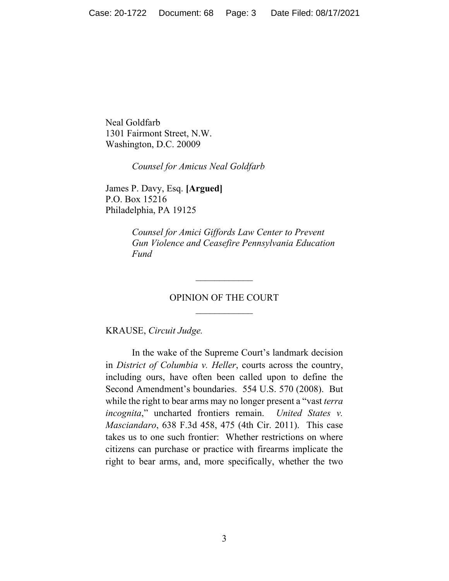Neal Goldfarb 1301 Fairmont Street, N.W. Washington, D.C. 20009

*Counsel for Amicus Neal Goldfarb*

James P. Davy, Esq. **[Argued]** P.O. Box 15216 Philadelphia, PA 19125

> *Counsel for Amici Giffords Law Center to Prevent Gun Violence and Ceasefire Pennsylvania Education Fund*

# OPINION OF THE COURT  $\frac{1}{2}$

 $\overline{\phantom{a}}$ 

KRAUSE, *Circuit Judge.*

In the wake of the Supreme Court's landmark decision in *District of Columbia v. Heller*, courts across the country, including ours, have often been called upon to define the Second Amendment's boundaries. 554 U.S. 570 (2008). But while the right to bear arms may no longer present a "vast *terra incognita*," uncharted frontiers remain. *United States v. Masciandaro*, 638 F.3d 458, 475 (4th Cir. 2011). This case takes us to one such frontier: Whether restrictions on where citizens can purchase or practice with firearms implicate the right to bear arms, and, more specifically, whether the two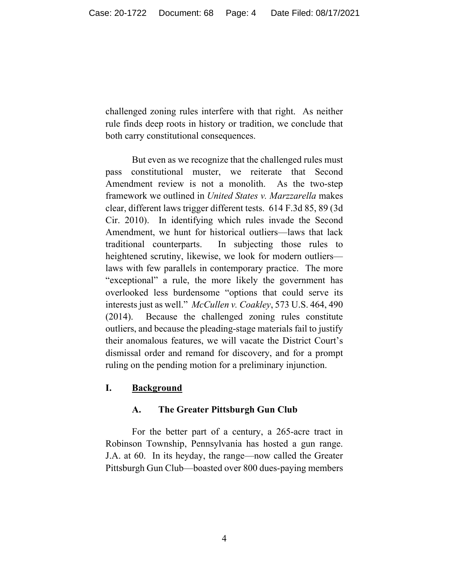challenged zoning rules interfere with that right. As neither rule finds deep roots in history or tradition, we conclude that both carry constitutional consequences.

But even as we recognize that the challenged rules must pass constitutional muster, we reiterate that Second Amendment review is not a monolith. As the two-step framework we outlined in *United States v. Marzzarella* makes clear, different laws trigger different tests. 614 F.3d 85, 89 (3d Cir. 2010). In identifying which rules invade the Second Amendment, we hunt for historical outliers—laws that lack traditional counterparts. In subjecting those rules to heightened scrutiny, likewise, we look for modern outliers laws with few parallels in contemporary practice. The more "exceptional" a rule, the more likely the government has overlooked less burdensome "options that could serve its interests just as well." *McCullen v. Coakley*, 573 U.S. 464, 490 (2014). Because the challenged zoning rules constitute outliers, and because the pleading-stage materials fail to justify their anomalous features, we will vacate the District Court's dismissal order and remand for discovery, and for a prompt ruling on the pending motion for a preliminary injunction.

## **I. Background**

## **A. The Greater Pittsburgh Gun Club**

For the better part of a century, a 265-acre tract in Robinson Township, Pennsylvania has hosted a gun range. J.A. at 60. In its heyday, the range—now called the Greater Pittsburgh Gun Club—boasted over 800 dues-paying members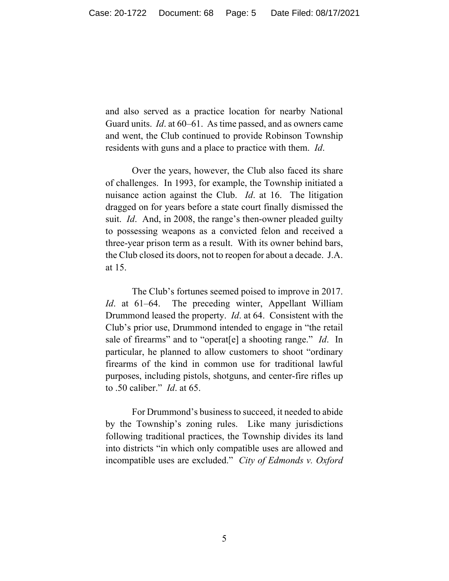and also served as a practice location for nearby National Guard units. *Id*. at 60–61. As time passed, and as owners came and went, the Club continued to provide Robinson Township residents with guns and a place to practice with them. *Id*.

Over the years, however, the Club also faced its share of challenges. In 1993, for example, the Township initiated a nuisance action against the Club. *Id*. at 16. The litigation dragged on for years before a state court finally dismissed the suit. *Id*. And, in 2008, the range's then-owner pleaded guilty to possessing weapons as a convicted felon and received a three-year prison term as a result. With its owner behind bars, the Club closed its doors, not to reopen for about a decade. J.A. at 15.

The Club's fortunes seemed poised to improve in 2017. *Id*. at 61–64. The preceding winter, Appellant William Drummond leased the property. *Id*. at 64. Consistent with the Club's prior use, Drummond intended to engage in "the retail sale of firearms" and to "operat[e] a shooting range." *Id*. In particular, he planned to allow customers to shoot "ordinary firearms of the kind in common use for traditional lawful purposes, including pistols, shotguns, and center-fire rifles up to .50 caliber." *Id*. at 65.

For Drummond's business to succeed, it needed to abide by the Township's zoning rules. Like many jurisdictions following traditional practices, the Township divides its land into districts "in which only compatible uses are allowed and incompatible uses are excluded." *City of Edmonds v. Oxford*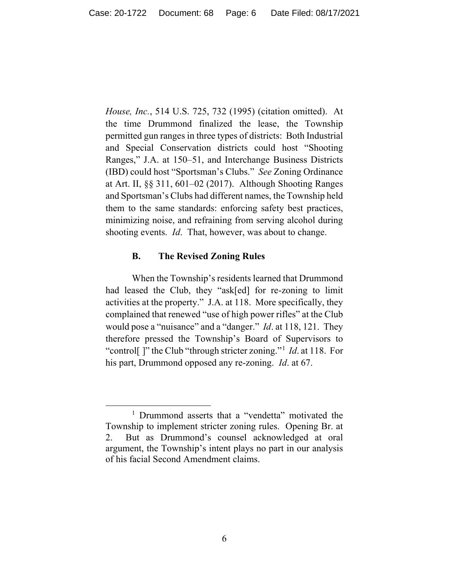*House, Inc.*, 514 U.S. 725, 732 (1995) (citation omitted). At the time Drummond finalized the lease, the Township permitted gun ranges in three types of districts: Both Industrial and Special Conservation districts could host "Shooting Ranges," J.A. at 150–51, and Interchange Business Districts (IBD) could host "Sportsman's Clubs." *See* Zoning Ordinance at Art. II, §§ 311, 601–02 (2017). Although Shooting Ranges and Sportsman's Clubs had different names, the Township held them to the same standards: enforcing safety best practices, minimizing noise, and refraining from serving alcohol during shooting events. *Id*. That, however, was about to change.

#### **B. The Revised Zoning Rules**

When the Township's residents learned that Drummond had leased the Club, they "ask[ed] for re-zoning to limit activities at the property." J.A. at 118. More specifically, they complained that renewed "use of high power rifles" at the Club would pose a "nuisance" and a "danger." *Id*. at 118, 121. They therefore pressed the Township's Board of Supervisors to "control[ ]" the Club "through stricter zoning."[1](#page-5-0) *Id*. at 118. For his part, Drummond opposed any re-zoning. *Id*. at 67.

<span id="page-5-0"></span><sup>&</sup>lt;sup>1</sup> Drummond asserts that a "vendetta" motivated the Township to implement stricter zoning rules. Opening Br. at 2.But as Drummond's counsel acknowledged at oral argument, the Township's intent plays no part in our analysis of his facial Second Amendment claims.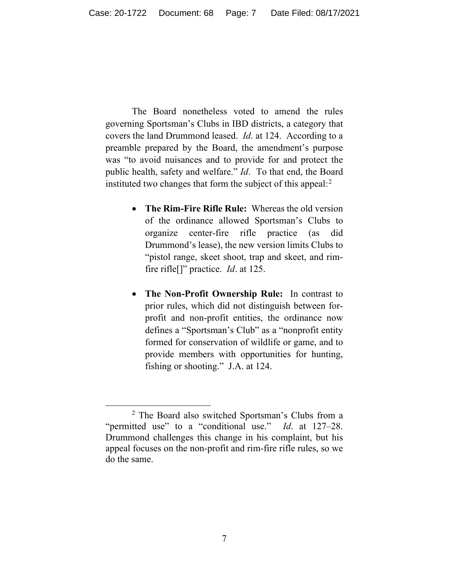The Board nonetheless voted to amend the rules governing Sportsman's Clubs in IBD districts, a category that covers the land Drummond leased. *Id*. at 124. According to a preamble prepared by the Board, the amendment's purpose was "to avoid nuisances and to provide for and protect the public health, safety and welfare." *Id*. To that end, the Board instituted two changes that form the subject of this appeal: $2$ 

- **The Rim-Fire Rifle Rule:** Whereas the old version of the ordinance allowed Sportsman's Clubs to organize center-fire rifle practice (as did Drummond's lease), the new version limits Clubs to "pistol range, skeet shoot, trap and skeet, and rimfire rifle[]" practice. *Id*. at 125.
- **The Non-Profit Ownership Rule:** In contrast to prior rules, which did not distinguish between forprofit and non-profit entities, the ordinance now defines a "Sportsman's Club" as a "nonprofit entity formed for conservation of wildlife or game, and to provide members with opportunities for hunting, fishing or shooting." J.A. at 124.

<span id="page-6-0"></span><sup>2</sup> The Board also switched Sportsman's Clubs from a "permitted use" to a "conditional use." *Id*. at 127–28. Drummond challenges this change in his complaint, but his appeal focuses on the non-profit and rim-fire rifle rules, so we do the same.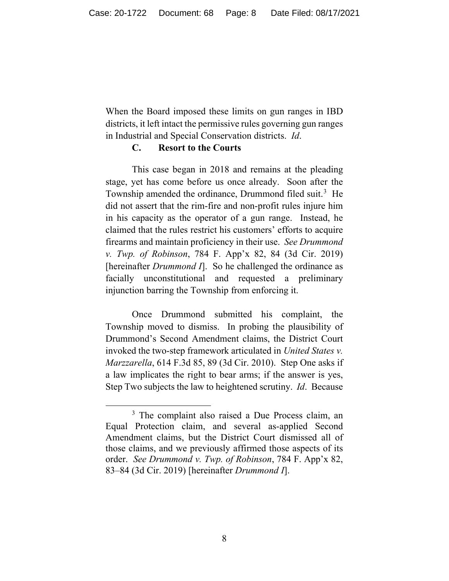When the Board imposed these limits on gun ranges in IBD districts, it left intact the permissive rules governing gun ranges in Industrial and Special Conservation districts. *Id*.

#### **C. Resort to the Courts**

This case began in 2018 and remains at the pleading stage, yet has come before us once already. Soon after the Township amended the ordinance, Drummond filed suit.<sup>[3](#page-7-0)</sup> He did not assert that the rim-fire and non-profit rules injure him in his capacity as the operator of a gun range. Instead, he claimed that the rules restrict his customers' efforts to acquire firearms and maintain proficiency in their use. *See Drummond v. Twp. of Robinson*, 784 F. App'x 82, 84 (3d Cir. 2019) [hereinafter *Drummond I*]. So he challenged the ordinance as facially unconstitutional and requested a preliminary injunction barring the Township from enforcing it.

Once Drummond submitted his complaint, the Township moved to dismiss. In probing the plausibility of Drummond's Second Amendment claims, the District Court invoked the two-step framework articulated in *United States v. Marzzarella*, 614 F.3d 85, 89 (3d Cir. 2010). Step One asks if a law implicates the right to bear arms; if the answer is yes, Step Two subjects the law to heightened scrutiny. *Id*. Because

<span id="page-7-0"></span><sup>&</sup>lt;sup>3</sup> The complaint also raised a Due Process claim, an Equal Protection claim, and several as-applied Second Amendment claims, but the District Court dismissed all of those claims, and we previously affirmed those aspects of its order. *See Drummond v. Twp. of Robinson*, 784 F. App'x 82, 83–84 (3d Cir. 2019) [hereinafter *Drummond I*].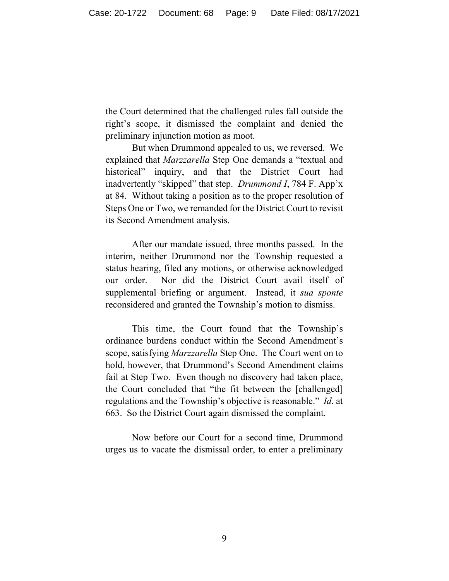the Court determined that the challenged rules fall outside the right's scope, it dismissed the complaint and denied the preliminary injunction motion as moot.

But when Drummond appealed to us, we reversed. We explained that *Marzzarella* Step One demands a "textual and historical" inquiry, and that the District Court had inadvertently "skipped" that step. *Drummond I*, 784 F. App'x at 84. Without taking a position as to the proper resolution of Steps One or Two, we remanded for the District Court to revisit its Second Amendment analysis.

After our mandate issued, three months passed. In the interim, neither Drummond nor the Township requested a status hearing, filed any motions, or otherwise acknowledged our order. Nor did the District Court avail itself of supplemental briefing or argument. Instead, it *sua sponte*  reconsidered and granted the Township's motion to dismiss.

This time, the Court found that the Township's ordinance burdens conduct within the Second Amendment's scope, satisfying *Marzzarella* Step One. The Court went on to hold, however, that Drummond's Second Amendment claims fail at Step Two. Even though no discovery had taken place, the Court concluded that "the fit between the [challenged] regulations and the Township's objective is reasonable." *Id*. at 663. So the District Court again dismissed the complaint.

Now before our Court for a second time, Drummond urges us to vacate the dismissal order, to enter a preliminary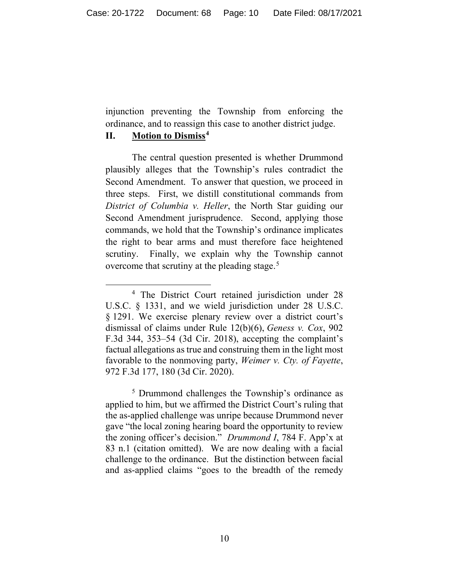injunction preventing the Township from enforcing the ordinance, and to reassign this case to another district judge.

### **II. Motion to Dismiss[4](#page-9-0)**

The central question presented is whether Drummond plausibly alleges that the Township's rules contradict the Second Amendment. To answer that question, we proceed in three steps. First, we distill constitutional commands from *District of Columbia v. Heller*, the North Star guiding our Second Amendment jurisprudence. Second, applying those commands, we hold that the Township's ordinance implicates the right to bear arms and must therefore face heightened scrutiny. Finally, we explain why the Township cannot overcome that scrutiny at the pleading stage.<sup>[5](#page-9-1)</sup>

<span id="page-9-0"></span><sup>4</sup> The District Court retained jurisdiction under 28 U.S.C. § 1331, and we wield jurisdiction under 28 U.S.C. § 1291. We exercise plenary review over a district court's dismissal of claims under Rule 12(b)(6), *Geness v. Cox*, 902 F.3d 344, 353–54 (3d Cir. 2018), accepting the complaint's factual allegations as true and construing them in the light most favorable to the nonmoving party, *Weimer v. Cty. of Fayette*, 972 F.3d 177, 180 (3d Cir. 2020).

<span id="page-9-1"></span><sup>5</sup> Drummond challenges the Township's ordinance as applied to him, but we affirmed the District Court's ruling that the as-applied challenge was unripe because Drummond never gave "the local zoning hearing board the opportunity to review the zoning officer's decision." *Drummond I*, 784 F. App'x at 83 n.1 (citation omitted). We are now dealing with a facial challenge to the ordinance. But the distinction between facial and as-applied claims "goes to the breadth of the remedy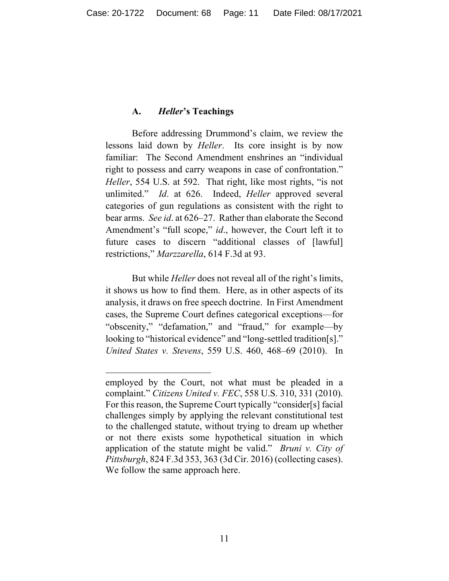### **A.** *Heller***'s Teachings**

Before addressing Drummond's claim, we review the lessons laid down by *Heller*. Its core insight is by now familiar: The Second Amendment enshrines an "individual right to possess and carry weapons in case of confrontation." *Heller*, 554 U.S. at 592. That right, like most rights, "is not unlimited." *Id*. at 626. Indeed, *Heller* approved several categories of gun regulations as consistent with the right to bear arms. *See id*. at 626–27. Rather than elaborate the Second Amendment's "full scope," *id*., however, the Court left it to future cases to discern "additional classes of [lawful] restrictions," *Marzzarella*, 614 F.3d at 93.

But while *Heller* does not reveal all of the right's limits, it shows us how to find them. Here, as in other aspects of its analysis, it draws on free speech doctrine. In First Amendment cases, the Supreme Court defines categorical exceptions—for "obscenity," "defamation," and "fraud," for example—by looking to "historical evidence" and "long-settled tradition[s]." *United States v. Stevens*, 559 U.S. 460, 468–69 (2010). In

employed by the Court, not what must be pleaded in a complaint." *Citizens United v. FEC*, 558 U.S. 310, 331 (2010). For this reason, the Supreme Court typically "consider[s] facial challenges simply by applying the relevant constitutional test to the challenged statute, without trying to dream up whether or not there exists some hypothetical situation in which application of the statute might be valid." *Bruni v. City of Pittsburgh*, 824 F.3d 353, 363 (3d Cir. 2016) (collecting cases). We follow the same approach here.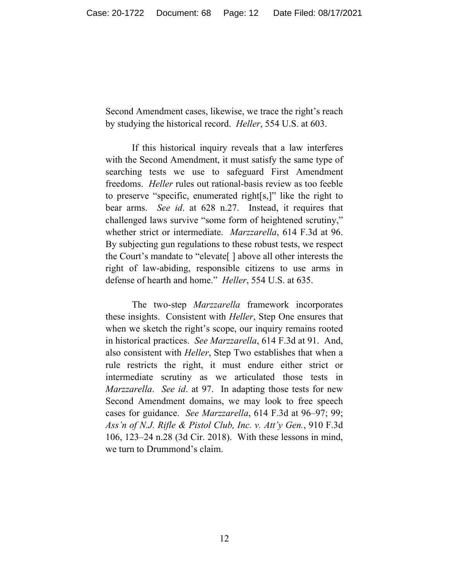Second Amendment cases, likewise, we trace the right's reach by studying the historical record. *Heller*, 554 U.S. at 603.

If this historical inquiry reveals that a law interferes with the Second Amendment, it must satisfy the same type of searching tests we use to safeguard First Amendment freedoms. *Heller* rules out rational-basis review as too feeble to preserve "specific, enumerated right[s,]" like the right to bear arms. *See id*. at 628 n.27. Instead, it requires that challenged laws survive "some form of heightened scrutiny," whether strict or intermediate. *Marzzarella*, 614 F.3d at 96. By subjecting gun regulations to these robust tests, we respect the Court's mandate to "elevate[ ] above all other interests the right of law-abiding, responsible citizens to use arms in defense of hearth and home." *Heller*, 554 U.S. at 635.

The two-step *Marzzarella* framework incorporates these insights. Consistent with *Heller*, Step One ensures that when we sketch the right's scope, our inquiry remains rooted in historical practices. *See Marzzarella*, 614 F.3d at 91. And, also consistent with *Heller*, Step Two establishes that when a rule restricts the right, it must endure either strict or intermediate scrutiny as we articulated those tests in *Marzzarella*. *See id*. at 97. In adapting those tests for new Second Amendment domains, we may look to free speech cases for guidance. *See Marzzarella*, 614 F.3d at 96–97; 99; *Ass'n of N.J. Rifle & Pistol Club, Inc. v. Att'y Gen.*, 910 F.3d 106, 123–24 n.28 (3d Cir. 2018). With these lessons in mind, we turn to Drummond's claim.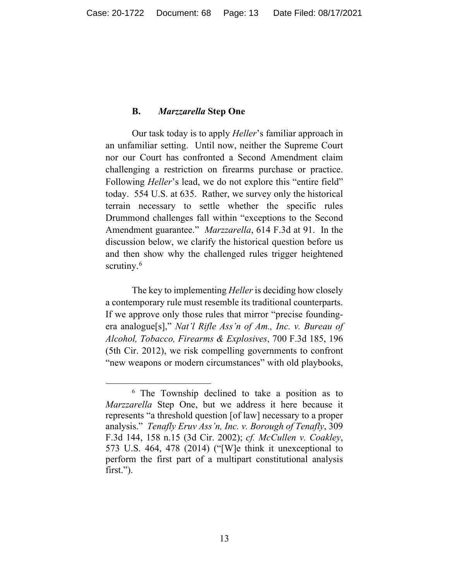#### **B.** *Marzzarella* **Step One**

Our task today is to apply *Heller*'s familiar approach in an unfamiliar setting. Until now, neither the Supreme Court nor our Court has confronted a Second Amendment claim challenging a restriction on firearms purchase or practice. Following *Heller*'s lead, we do not explore this "entire field" today. 554 U.S. at 635. Rather, we survey only the historical terrain necessary to settle whether the specific rules Drummond challenges fall within "exceptions to the Second Amendment guarantee." *Marzzarella*, 614 F.3d at 91. In the discussion below, we clarify the historical question before us and then show why the challenged rules trigger heightened scrutiny. $6$ 

The key to implementing *Heller* is deciding how closely a contemporary rule must resemble its traditional counterparts. If we approve only those rules that mirror "precise foundingera analogue[s]," *Nat'l Rifle Ass'n of Am., Inc. v. Bureau of Alcohol, Tobacco, Firearms & Explosives*, 700 F.3d 185, 196 (5th Cir. 2012), we risk compelling governments to confront "new weapons or modern circumstances" with old playbooks,

<span id="page-12-0"></span><sup>6</sup> The Township declined to take a position as to *Marzzarella* Step One, but we address it here because it represents "a threshold question [of law] necessary to a proper analysis." *Tenafly Eruv Ass'n, Inc. v. Borough of Tenafly*, 309 F.3d 144, 158 n.15 (3d Cir. 2002); *cf. McCullen v. Coakley*, 573 U.S. 464, 478 (2014) ("[W]e think it unexceptional to perform the first part of a multipart constitutional analysis first.").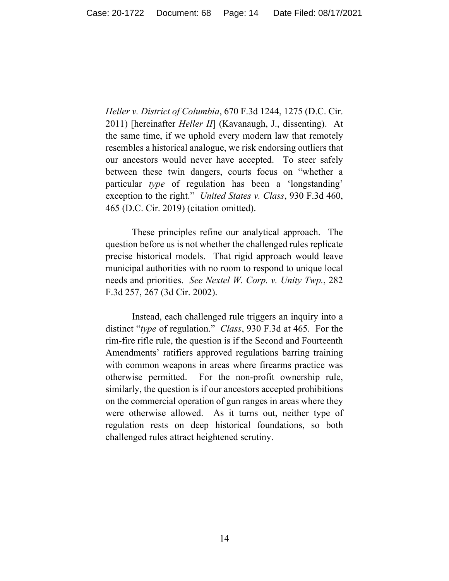*Heller v. District of Columbia*, 670 F.3d 1244, 1275 (D.C. Cir. 2011) [hereinafter *Heller II*] (Kavanaugh, J., dissenting). At the same time, if we uphold every modern law that remotely resembles a historical analogue, we risk endorsing outliers that our ancestors would never have accepted. To steer safely between these twin dangers, courts focus on "whether a particular *type* of regulation has been a 'longstanding' exception to the right." *United States v. Class*, 930 F.3d 460, 465 (D.C. Cir. 2019) (citation omitted).

These principles refine our analytical approach. The question before us is not whether the challenged rules replicate precise historical models. That rigid approach would leave municipal authorities with no room to respond to unique local needs and priorities. *See Nextel W. Corp. v. Unity Twp.*, 282 F.3d 257, 267 (3d Cir. 2002).

Instead, each challenged rule triggers an inquiry into a distinct "*type* of regulation." *Class*, 930 F.3d at 465. For the rim-fire rifle rule, the question is if the Second and Fourteenth Amendments' ratifiers approved regulations barring training with common weapons in areas where firearms practice was otherwise permitted. For the non-profit ownership rule, similarly, the question is if our ancestors accepted prohibitions on the commercial operation of gun ranges in areas where they were otherwise allowed. As it turns out, neither type of regulation rests on deep historical foundations, so both challenged rules attract heightened scrutiny.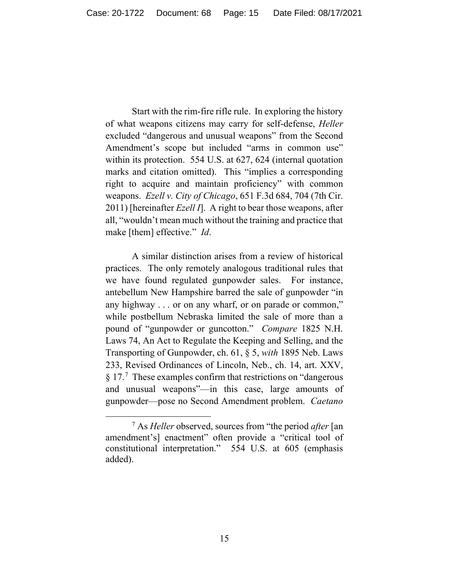Start with the rim-fire rifle rule. In exploring the history of what weapons citizens may carry for self-defense, *Heller* excluded "dangerous and unusual weapons" from the Second Amendment's scope but included "arms in common use" within its protection. 554 U.S. at 627, 624 (internal quotation marks and citation omitted). This "implies a corresponding right to acquire and maintain proficiency" with common weapons. *Ezell v. City of Chicago*, 651 F.3d 684, 704 (7th Cir. 2011) [hereinafter *Ezell I*]. A right to bear those weapons, after all, "wouldn't mean much without the training and practice that make [them] effective." *Id*.

A similar distinction arises from a review of historical practices. The only remotely analogous traditional rules that we have found regulated gunpowder sales. For instance, antebellum New Hampshire barred the sale of gunpowder "in any highway . . . or on any wharf, or on parade or common," while postbellum Nebraska limited the sale of more than a pound of "gunpowder or guncotton." *Compare* 1825 N.H. Laws 74, An Act to Regulate the Keeping and Selling, and the Transporting of Gunpowder, ch. 61, § 5, *with* 1895 Neb. Laws 233, Revised Ordinances of Lincoln, Neb., ch. 14, art. XXV, § 1[7](#page-14-0).<sup>7</sup> These examples confirm that restrictions on "dangerous" and unusual weapons"—in this case, large amounts of gunpowder—pose no Second Amendment problem. *Caetano* 

<span id="page-14-0"></span><sup>7</sup> As *Heller* observed, sources from "the period *after* [an amendment's] enactment" often provide a "critical tool of constitutional interpretation." 554 U.S. at 605 (emphasis added).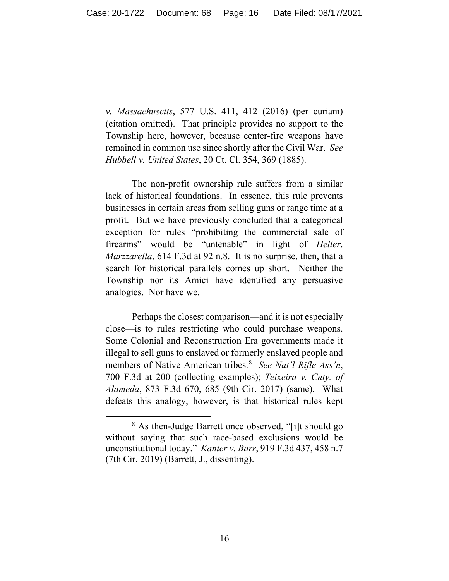*v. Massachusetts*, 577 U.S. 411, 412 (2016) (per curiam) (citation omitted). That principle provides no support to the Township here, however, because center-fire weapons have remained in common use since shortly after the Civil War. *See Hubbell v. United States*, 20 Ct. Cl. 354, 369 (1885).

The non-profit ownership rule suffers from a similar lack of historical foundations. In essence, this rule prevents businesses in certain areas from selling guns or range time at a profit. But we have previously concluded that a categorical exception for rules "prohibiting the commercial sale of firearms" would be "untenable" in light of *Heller*. *Marzzarella*, 614 F.3d at 92 n.8. It is no surprise, then, that a search for historical parallels comes up short. Neither the Township nor its Amici have identified any persuasive analogies. Nor have we.

Perhaps the closest comparison—and it is not especially close—is to rules restricting who could purchase weapons. Some Colonial and Reconstruction Era governments made it illegal to sell guns to enslaved or formerly enslaved people and members of Native American tribes. [8](#page-15-0) *See Nat'l Rifle Ass'n*, 700 F.3d at 200 (collecting examples); *Teixeira v. Cnty. of Alameda*, 873 F.3d 670, 685 (9th Cir. 2017) (same). What defeats this analogy, however, is that historical rules kept

<span id="page-15-0"></span><sup>8</sup> As then-Judge Barrett once observed, "[i]t should go without saying that such race-based exclusions would be unconstitutional today." *Kanter v. Barr*, 919 F.3d 437, 458 n.7 (7th Cir. 2019) (Barrett, J., dissenting).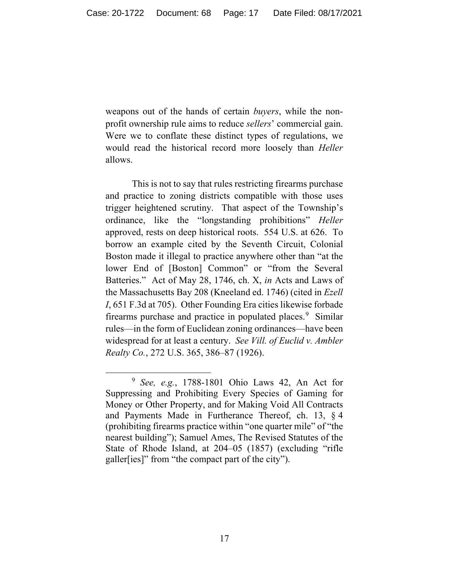weapons out of the hands of certain *buyers*, while the nonprofit ownership rule aims to reduce *sellers*' commercial gain. Were we to conflate these distinct types of regulations, we would read the historical record more loosely than *Heller* allows.

This is not to say that rules restricting firearms purchase and practice to zoning districts compatible with those uses trigger heightened scrutiny. That aspect of the Township's ordinance, like the "longstanding prohibitions" *Heller* approved, rests on deep historical roots. 554 U.S. at 626. To borrow an example cited by the Seventh Circuit, Colonial Boston made it illegal to practice anywhere other than "at the lower End of [Boston] Common" or "from the Several Batteries." Act of May 28, 1746, ch. X, *in* Acts and Laws of the Massachusetts Bay 208 (Kneeland ed. 1746) (cited in *Ezell I*, 651 F.3d at 705). Other Founding Era cities likewise forbade firearms purchase and practice in populated places.<sup>[9](#page-16-0)</sup> Similar rules—in the form of Euclidean zoning ordinances—have been widespread for at least a century. *See Vill. of Euclid v. Ambler Realty Co.*, 272 U.S. 365, 386–87 (1926).

<span id="page-16-0"></span><sup>9</sup> *See, e.g.*, 1788-1801 Ohio Laws 42, An Act for Suppressing and Prohibiting Every Species of Gaming for Money or Other Property, and for Making Void All Contracts and Payments Made in Furtherance Thereof, ch. 13, § 4 (prohibiting firearms practice within "one quarter mile" of "the nearest building"); Samuel Ames, The Revised Statutes of the State of Rhode Island, at 204–05 (1857) (excluding "rifle galler[ies]" from "the compact part of the city").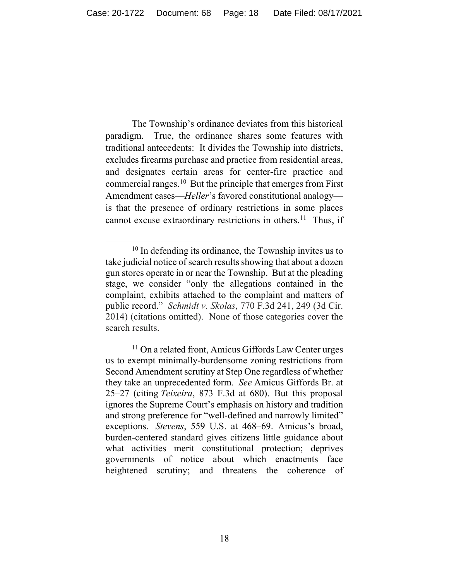The Township's ordinance deviates from this historical paradigm. True, the ordinance shares some features with traditional antecedents: It divides the Township into districts, excludes firearms purchase and practice from residential areas, and designates certain areas for center-fire practice and commercial ranges.<sup>[10](#page-17-0)</sup> But the principle that emerges from First Amendment cases—*Heller*'s favored constitutional analogy is that the presence of ordinary restrictions in some places cannot excuse extraordinary restrictions in others.<sup>11</sup> Thus, if

<span id="page-17-0"></span> $10$  In defending its ordinance, the Township invites us to take judicial notice of search results showing that about a dozen gun stores operate in or near the Township. But at the pleading stage, we consider "only the allegations contained in the complaint, exhibits attached to the complaint and matters of public record." *Schmidt v. Skolas*, 770 F.3d 241, 249 (3d Cir. 2014) (citations omitted). None of those categories cover the search results.

<span id="page-17-1"></span> $11$  On a related front, Amicus Giffords Law Center urges us to exempt minimally-burdensome zoning restrictions from Second Amendment scrutiny at Step One regardless of whether they take an unprecedented form. *See* Amicus Giffords Br. at 25–27 (citing *Teixeira*, 873 F.3d at 680).But this proposal ignores the Supreme Court's emphasis on history and tradition and strong preference for "well-defined and narrowly limited" exceptions. *Stevens*, 559 U.S. at 468–69. Amicus's broad, burden-centered standard gives citizens little guidance about what activities merit constitutional protection; deprives governments of notice about which enactments face heightened scrutiny; and threatens the coherence of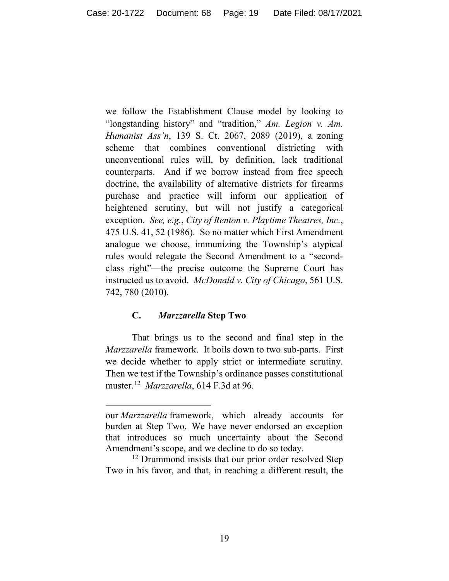we follow the Establishment Clause model by looking to "longstanding history" and "tradition," *Am. Legion v. Am. Humanist Ass'n*, 139 S. Ct. 2067, 2089 (2019), a zoning scheme that combines conventional districting with unconventional rules will, by definition, lack traditional counterparts. And if we borrow instead from free speech doctrine, the availability of alternative districts for firearms purchase and practice will inform our application of heightened scrutiny, but will not justify a categorical exception. *See, e.g.*, *City of Renton v. Playtime Theatres, Inc.*, 475 U.S. 41, 52 (1986). So no matter which First Amendment analogue we choose, immunizing the Township's atypical rules would relegate the Second Amendment to a "secondclass right"—the precise outcome the Supreme Court has instructed us to avoid. *McDonald v. City of Chicago*, 561 U.S. 742, 780 (2010).

# **C.** *Marzzarella* **Step Two**

That brings us to the second and final step in the *Marzzarella* framework. It boils down to two sub-parts. First we decide whether to apply strict or intermediate scrutiny. Then we test if the Township's ordinance passes constitutional muster.[12](#page-18-0) *Marzzarella*, 614 F.3d at 96.

our *Marzzarella* framework, which already accounts for burden at Step Two. We have never endorsed an exception that introduces so much uncertainty about the Second Amendment's scope, and we decline to do so today.<br><sup>12</sup> Drummond insists that our prior order resolved Step

<span id="page-18-0"></span>Two in his favor, and that, in reaching a different result, the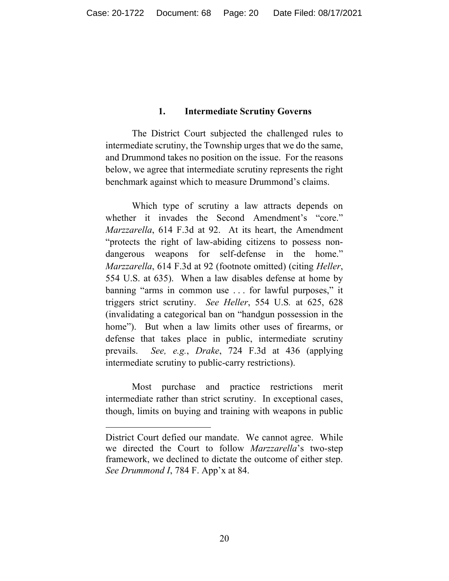#### **1. Intermediate Scrutiny Governs**

The District Court subjected the challenged rules to intermediate scrutiny, the Township urges that we do the same, and Drummond takes no position on the issue. For the reasons below, we agree that intermediate scrutiny represents the right benchmark against which to measure Drummond's claims.

Which type of scrutiny a law attracts depends on whether it invades the Second Amendment's "core." *Marzzarella*, 614 F.3d at 92. At its heart, the Amendment "protects the right of law-abiding citizens to possess nondangerous weapons for self-defense in the home." *Marzzarella*, 614 F.3d at 92 (footnote omitted) (citing *Heller*, 554 U.S. at 635). When a law disables defense at home by banning "arms in common use . . . for lawful purposes," it triggers strict scrutiny. *See Heller*, 554 U.S*.* at 625, 628 (invalidating a categorical ban on "handgun possession in the home"). But when a law limits other uses of firearms, or defense that takes place in public, intermediate scrutiny prevails. *See, e.g.*, *Drake*, 724 F.3d at 436 (applying intermediate scrutiny to public-carry restrictions).

Most purchase and practice restrictions merit intermediate rather than strict scrutiny. In exceptional cases, though, limits on buying and training with weapons in public

District Court defied our mandate. We cannot agree. While we directed the Court to follow *Marzzarella*'s two-step framework, we declined to dictate the outcome of either step. *See Drummond I*, 784 F. App'x at 84.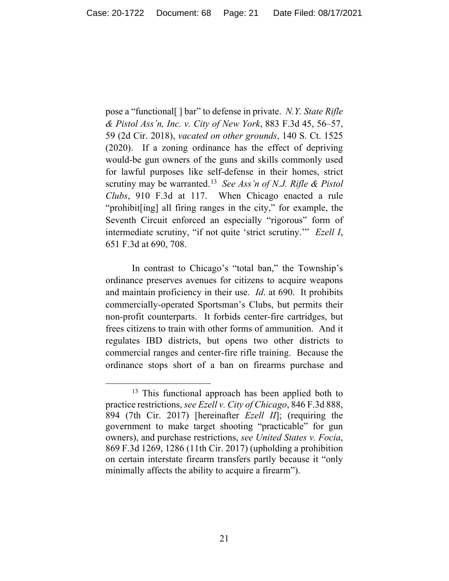pose a "functional[ ] bar" to defense in private. *N.Y. State Rifle & Pistol Ass'n, Inc. v. City of New York*, 883 F.3d 45, 56–57, 59 (2d Cir. 2018), *vacated on other grounds*, 140 S. Ct. 1525 (2020). If a zoning ordinance has the effect of depriving would-be gun owners of the guns and skills commonly used for lawful purposes like self-defense in their homes, strict scrutiny may be warranted.[13](#page-20-0) *See Ass'n of N.J. Rifle & Pistol Clubs*, 910 F.3d at 117. When Chicago enacted a rule "prohibit[ing] all firing ranges in the city," for example, the Seventh Circuit enforced an especially "rigorous" form of intermediate scrutiny, "if not quite 'strict scrutiny.'" *Ezell I*, 651 F.3d at 690, 708.

In contrast to Chicago's "total ban," the Township's ordinance preserves avenues for citizens to acquire weapons and maintain proficiency in their use. *Id*. at 690. It prohibits commercially-operated Sportsman's Clubs, but permits their non-profit counterparts. It forbids center-fire cartridges, but frees citizens to train with other forms of ammunition. And it regulates IBD districts, but opens two other districts to commercial ranges and center-fire rifle training. Because the ordinance stops short of a ban on firearms purchase and

<span id="page-20-0"></span><sup>&</sup>lt;sup>13</sup> This functional approach has been applied both to practice restrictions, *see Ezell v. City of Chicago*, 846 F.3d 888, 894 (7th Cir. 2017) [hereinafter *Ezell II*]; (requiring the government to make target shooting "practicable" for gun owners), and purchase restrictions, *see United States v. Focia*, 869 F.3d 1269, 1286 (11th Cir. 2017) (upholding a prohibition on certain interstate firearm transfers partly because it "only minimally affects the ability to acquire a firearm").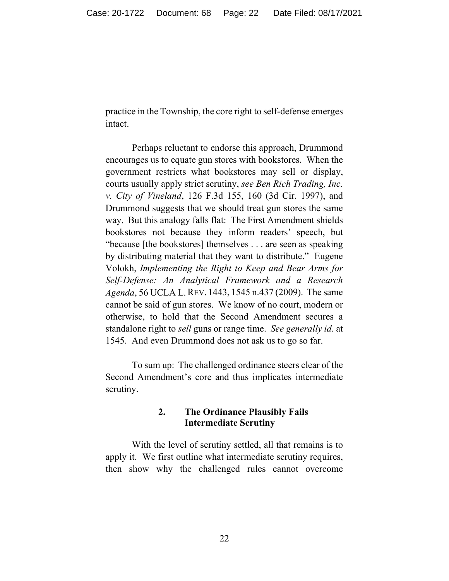practice in the Township, the core right to self-defense emerges intact.

Perhaps reluctant to endorse this approach, Drummond encourages us to equate gun stores with bookstores. When the government restricts what bookstores may sell or display, courts usually apply strict scrutiny, *see Ben Rich Trading, Inc. v. City of Vineland*, 126 F.3d 155, 160 (3d Cir. 1997), and Drummond suggests that we should treat gun stores the same way. But this analogy falls flat: The First Amendment shields bookstores not because they inform readers' speech, but "because [the bookstores] themselves . . . are seen as speaking by distributing material that they want to distribute." Eugene Volokh, *Implementing the Right to Keep and Bear Arms for Self-Defense: An Analytical Framework and a Research Agenda*, 56 UCLA L.REV. 1443, 1545 n.437 (2009). The same cannot be said of gun stores. We know of no court, modern or otherwise, to hold that the Second Amendment secures a standalone right to *sell* guns or range time. *See generally id*. at 1545. And even Drummond does not ask us to go so far.

To sum up: The challenged ordinance steers clear of the Second Amendment's core and thus implicates intermediate scrutiny.

# **2. The Ordinance Plausibly Fails Intermediate Scrutiny**

With the level of scrutiny settled, all that remains is to apply it. We first outline what intermediate scrutiny requires, then show why the challenged rules cannot overcome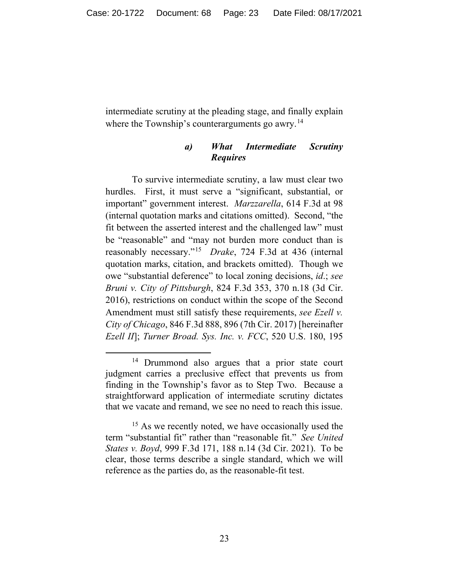intermediate scrutiny at the pleading stage, and finally explain where the Township's counterarguments go awry.<sup>14</sup>

# *a) What Intermediate Scrutiny Requires*

To survive intermediate scrutiny, a law must clear two hurdles. First, it must serve a "significant, substantial, or important" government interest. *Marzzarella*, 614 F.3d at 98 (internal quotation marks and citations omitted). Second, "the fit between the asserted interest and the challenged law" must be "reasonable" and "may not burden more conduct than is reasonably necessary."[15](#page-22-1) *Drake*, 724 F.3d at 436 (internal quotation marks, citation, and brackets omitted). Though we owe "substantial deference" to local zoning decisions, *id*.; *see Bruni v. City of Pittsburgh*, 824 F.3d 353, 370 n.18 (3d Cir. 2016), restrictions on conduct within the scope of the Second Amendment must still satisfy these requirements, *see Ezell v. City of Chicago*, 846 F.3d 888, 896 (7th Cir. 2017) [hereinafter *Ezell II*]; *Turner Broad. Sys. Inc. v. FCC*, 520 U.S. 180, 195

<span id="page-22-0"></span><sup>&</sup>lt;sup>14</sup> Drummond also argues that a prior state court judgment carries a preclusive effect that prevents us from finding in the Township's favor as to Step Two. Because a straightforward application of intermediate scrutiny dictates that we vacate and remand, we see no need to reach this issue.

<span id="page-22-1"></span><sup>&</sup>lt;sup>15</sup> As we recently noted, we have occasionally used the term "substantial fit" rather than "reasonable fit." *See United States v. Boyd*, 999 F.3d 171, 188 n.14 (3d Cir. 2021). To be clear, those terms describe a single standard, which we will reference as the parties do, as the reasonable-fit test.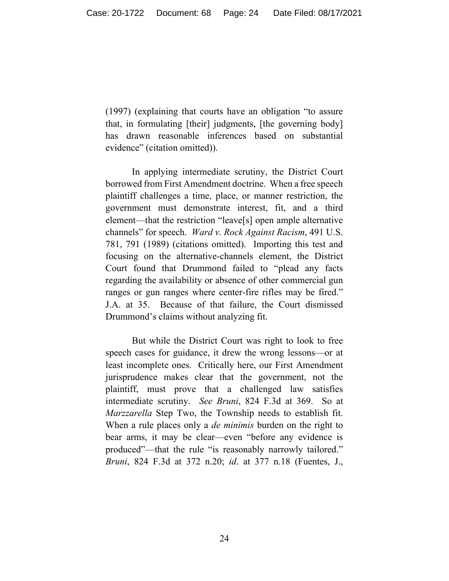(1997) (explaining that courts have an obligation "to assure that, in formulating [their] judgments, [the governing body] has drawn reasonable inferences based on substantial evidence" (citation omitted)).

In applying intermediate scrutiny, the District Court borrowed from First Amendment doctrine. When a free speech plaintiff challenges a time, place, or manner restriction, the government must demonstrate interest, fit, and a third element—that the restriction "leave[s] open ample alternative channels" for speech. *Ward v. Rock Against Racism*, 491 U.S. 781, 791 (1989) (citations omitted). Importing this test and focusing on the alternative-channels element, the District Court found that Drummond failed to "plead any facts regarding the availability or absence of other commercial gun ranges or gun ranges where center-fire rifles may be fired." J.A. at 35. Because of that failure, the Court dismissed Drummond's claims without analyzing fit.

But while the District Court was right to look to free speech cases for guidance, it drew the wrong lessons—or at least incomplete ones. Critically here, our First Amendment jurisprudence makes clear that the government, not the plaintiff, must prove that a challenged law satisfies intermediate scrutiny. *See Bruni*, 824 F.3d at 369. So at *Marzzarella* Step Two, the Township needs to establish fit. When a rule places only a *de minimis* burden on the right to bear arms, it may be clear—even "before any evidence is produced"—that the rule "is reasonably narrowly tailored." *Bruni*, 824 F.3d at 372 n.20; *id*. at 377 n.18 (Fuentes, J.,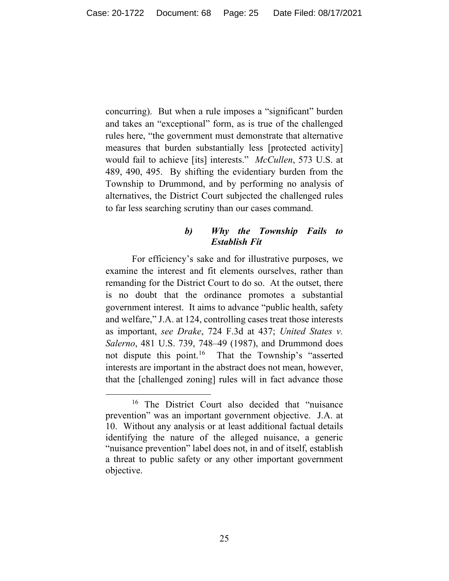concurring). But when a rule imposes a "significant" burden and takes an "exceptional" form, as is true of the challenged rules here, "the government must demonstrate that alternative measures that burden substantially less [protected activity] would fail to achieve [its] interests." *McCullen*, 573 U.S. at 489, 490, 495. By shifting the evidentiary burden from the Township to Drummond, and by performing no analysis of alternatives, the District Court subjected the challenged rules to far less searching scrutiny than our cases command.

## *b) Why the Township Fails to Establish Fit*

For efficiency's sake and for illustrative purposes, we examine the interest and fit elements ourselves, rather than remanding for the District Court to do so. At the outset, there is no doubt that the ordinance promotes a substantial government interest. It aims to advance "public health, safety and welfare," J.A. at 124, controlling cases treat those interests as important, *see Drake*, 724 F.3d at 437; *United States v. Salerno*, 481 U.S. 739, 748–49 (1987), and Drummond does not dispute this point.<sup>16</sup> That the Township's "asserted interests are important in the abstract does not mean, however, that the [challenged zoning] rules will in fact advance those

<span id="page-24-0"></span><sup>&</sup>lt;sup>16</sup> The District Court also decided that "nuisance prevention" was an important government objective. J.A. at 10. Without any analysis or at least additional factual details identifying the nature of the alleged nuisance, a generic "nuisance prevention" label does not, in and of itself, establish a threat to public safety or any other important government objective.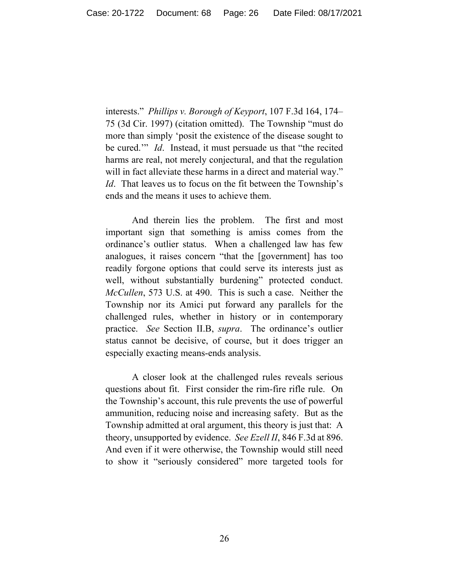interests." *Phillips v. Borough of Keyport*, 107 F.3d 164, 174– 75 (3d Cir. 1997) (citation omitted). The Township "must do more than simply 'posit the existence of the disease sought to be cured.'" *Id*. Instead, it must persuade us that "the recited harms are real, not merely conjectural, and that the regulation will in fact alleviate these harms in a direct and material way." *Id*. That leaves us to focus on the fit between the Township's ends and the means it uses to achieve them.

And therein lies the problem. The first and most important sign that something is amiss comes from the ordinance's outlier status. When a challenged law has few analogues, it raises concern "that the [government] has too readily forgone options that could serve its interests just as well, without substantially burdening" protected conduct. *McCullen*, 573 U.S. at 490. This is such a case. Neither the Township nor its Amici put forward any parallels for the challenged rules, whether in history or in contemporary practice. *See* Section II.B, *supra*. The ordinance's outlier status cannot be decisive, of course, but it does trigger an especially exacting means-ends analysis.

A closer look at the challenged rules reveals serious questions about fit. First consider the rim-fire rifle rule. On the Township's account, this rule prevents the use of powerful ammunition, reducing noise and increasing safety. But as the Township admitted at oral argument, this theory is just that: A theory, unsupported by evidence. *See Ezell II*, 846 F.3d at 896. And even if it were otherwise, the Township would still need to show it "seriously considered" more targeted tools for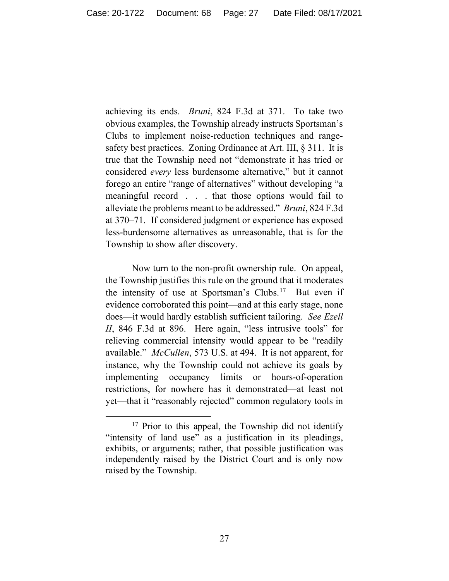achieving its ends. *Bruni*, 824 F.3d at 371. To take two obvious examples, the Township already instructs Sportsman's Clubs to implement noise-reduction techniques and rangesafety best practices. Zoning Ordinance at Art. III, § 311. It is true that the Township need not "demonstrate it has tried or considered *every* less burdensome alternative," but it cannot forego an entire "range of alternatives" without developing "a meaningful record . . . that those options would fail to alleviate the problems meant to be addressed." *Bruni*, 824 F.3d at 370–71. If considered judgment or experience has exposed less-burdensome alternatives as unreasonable, that is for the Township to show after discovery.

Now turn to the non-profit ownership rule. On appeal, the Township justifies this rule on the ground that it moderates the intensity of use at Sportsman's Clubs.<sup>[17](#page-26-0)</sup> But even if evidence corroborated this point—and at this early stage, none does—it would hardly establish sufficient tailoring. *See Ezell II*, 846 F.3d at 896. Here again, "less intrusive tools" for relieving commercial intensity would appear to be "readily available." *McCullen*, 573 U.S. at 494. It is not apparent, for instance, why the Township could not achieve its goals by implementing occupancy limits or hours-of-operation restrictions, for nowhere has it demonstrated—at least not yet—that it "reasonably rejected" common regulatory tools in

<span id="page-26-0"></span><sup>&</sup>lt;sup>17</sup> Prior to this appeal, the Township did not identify "intensity of land use" as a justification in its pleadings, exhibits, or arguments; rather, that possible justification was independently raised by the District Court and is only now raised by the Township.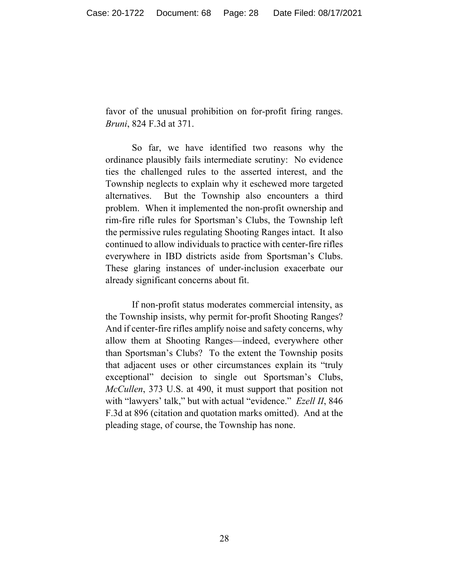favor of the unusual prohibition on for-profit firing ranges. *Bruni*, 824 F.3d at 371.

So far, we have identified two reasons why the ordinance plausibly fails intermediate scrutiny: No evidence ties the challenged rules to the asserted interest, and the Township neglects to explain why it eschewed more targeted alternatives. But the Township also encounters a third problem. When it implemented the non-profit ownership and rim-fire rifle rules for Sportsman's Clubs, the Township left the permissive rules regulating Shooting Ranges intact. It also continued to allow individuals to practice with center-fire rifles everywhere in IBD districts aside from Sportsman's Clubs. These glaring instances of under-inclusion exacerbate our already significant concerns about fit.

If non-profit status moderates commercial intensity, as the Township insists, why permit for-profit Shooting Ranges? And if center-fire rifles amplify noise and safety concerns, why allow them at Shooting Ranges—indeed, everywhere other than Sportsman's Clubs? To the extent the Township posits that adjacent uses or other circumstances explain its "truly exceptional" decision to single out Sportsman's Clubs, *McCullen*, 373 U.S. at 490, it must support that position not with "lawyers' talk," but with actual "evidence." *Ezell II*, 846 F.3d at 896 (citation and quotation marks omitted). And at the pleading stage, of course, the Township has none.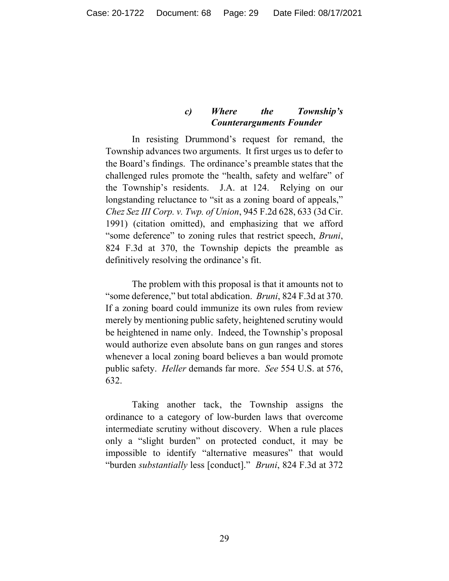# *c) Where the Township's Counterarguments Founder*

In resisting Drummond's request for remand, the Township advances two arguments. It first urges us to defer to the Board's findings. The ordinance's preamble states that the challenged rules promote the "health, safety and welfare" of the Township's residents. J.A. at 124. Relying on our longstanding reluctance to "sit as a zoning board of appeals," *Chez Sez III Corp. v. Twp. of Union*, 945 F.2d 628, 633 (3d Cir. 1991) (citation omitted), and emphasizing that we afford "some deference" to zoning rules that restrict speech, *Bruni*, 824 F.3d at 370, the Township depicts the preamble as definitively resolving the ordinance's fit.

The problem with this proposal is that it amounts not to "some deference," but total abdication. *Bruni*, 824 F.3d at 370. If a zoning board could immunize its own rules from review merely by mentioning public safety, heightened scrutiny would be heightened in name only. Indeed, the Township's proposal would authorize even absolute bans on gun ranges and stores whenever a local zoning board believes a ban would promote public safety. *Heller* demands far more. *See* 554 U.S. at 576, 632.

Taking another tack, the Township assigns the ordinance to a category of low-burden laws that overcome intermediate scrutiny without discovery. When a rule places only a "slight burden" on protected conduct, it may be impossible to identify "alternative measures" that would "burden *substantially* less [conduct]." *Bruni*, 824 F.3d at 372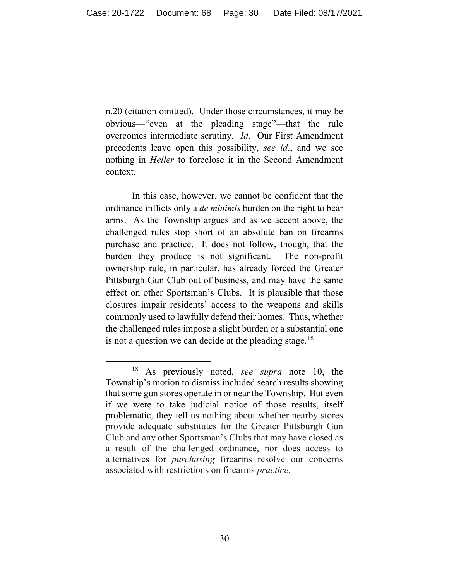n.20 (citation omitted). Under those circumstances, it may be obvious—"even at the pleading stage"—that the rule overcomes intermediate scrutiny. *Id*. Our First Amendment precedents leave open this possibility, *see id*., and we see nothing in *Heller* to foreclose it in the Second Amendment context.

In this case, however, we cannot be confident that the ordinance inflicts only a *de minimis* burden on the right to bear arms. As the Township argues and as we accept above, the challenged rules stop short of an absolute ban on firearms purchase and practice. It does not follow, though, that the burden they produce is not significant. The non-profit ownership rule, in particular, has already forced the Greater Pittsburgh Gun Club out of business, and may have the same effect on other Sportsman's Clubs. It is plausible that those closures impair residents' access to the weapons and skills commonly used to lawfully defend their homes. Thus, whether the challenged rules impose a slight burden or a substantial one is not a question we can decide at the pleading stage.<sup>[18](#page-29-0)</sup>

<span id="page-29-0"></span><sup>18</sup> As previously noted, *see supra* note 10, the Township's motion to dismiss included search results showing that some gun stores operate in or near the Township. But even if we were to take judicial notice of those results, itself problematic, they tell us nothing about whether nearby stores provide adequate substitutes for the Greater Pittsburgh Gun Club and any other Sportsman's Clubs that may have closed as a result of the challenged ordinance, nor does access to alternatives for *purchasing* firearms resolve our concerns associated with restrictions on firearms *practice*.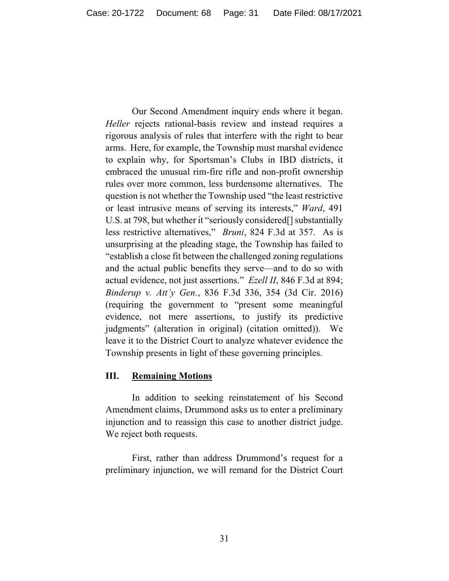Our Second Amendment inquiry ends where it began. *Heller* rejects rational-basis review and instead requires a rigorous analysis of rules that interfere with the right to bear arms. Here, for example, the Township must marshal evidence to explain why, for Sportsman's Clubs in IBD districts, it embraced the unusual rim-fire rifle and non-profit ownership rules over more common, less burdensome alternatives. The question is not whether the Township used "the least restrictive or least intrusive means of serving its interests," *Ward*, 491 U.S. at 798, but whether it "seriously considered[] substantially less restrictive alternatives," *Bruni*, 824 F.3d at 357. As is unsurprising at the pleading stage, the Township has failed to "establish a close fit between the challenged zoning regulations and the actual public benefits they serve—and to do so with actual evidence, not just assertions." *Ezell II*, 846 F.3d at 894; *Binderup v. Att'y Gen.*, 836 F.3d 336, 354 (3d Cir. 2016) (requiring the government to "present some meaningful evidence, not mere assertions, to justify its predictive judgments" (alteration in original) (citation omitted)). We leave it to the District Court to analyze whatever evidence the Township presents in light of these governing principles.

# **III. Remaining Motions**

In addition to seeking reinstatement of his Second Amendment claims, Drummond asks us to enter a preliminary injunction and to reassign this case to another district judge. We reject both requests.

First, rather than address Drummond's request for a preliminary injunction, we will remand for the District Court